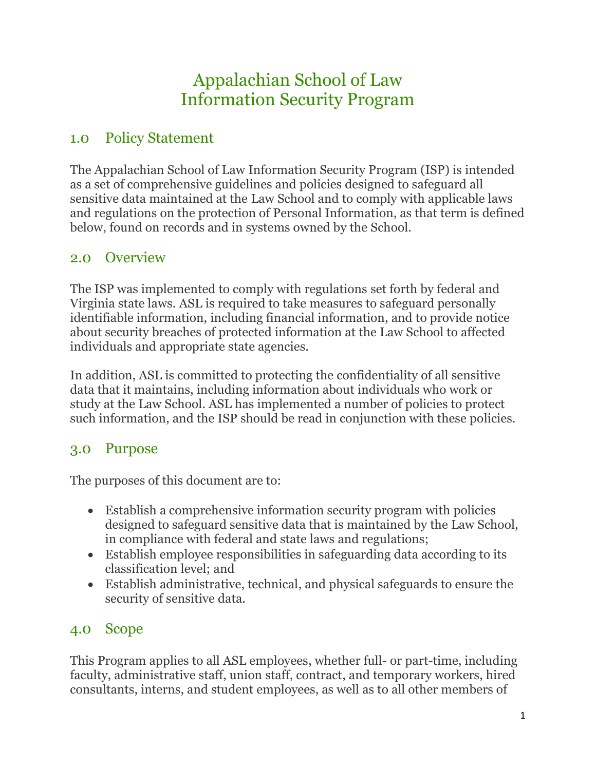# Appalachian School of Law Information Security Program

## 1.0 Policy Statement

The Appalachian School of Law Information Security Program (ISP) is intended as a set of comprehensive guidelines and policies designed to safeguard all sensitive data maintained at the Law School and to comply with applicable laws and regulations on the protection of Personal Information, as that term is defined below, found on records and in systems owned by the School.

## 2.0 Overview

The ISP was implemented to comply with regulations set forth by federal and Virginia state laws. ASL is required to take measures to safeguard personally identifiable information, including financial information, and to provide notice about security breaches of protected information at the Law School to affected individuals and appropriate state agencies.

In addition, ASL is committed to protecting the confidentiality of all sensitive data that it maintains, including information about individuals who work or study at the Law School. ASL has implemented a number of policies to protect such information, and the ISP should be read in conjunction with these policies.

## 3.0 Purpose

The purposes of this document are to:

- Establish a comprehensive information security program with policies designed to safeguard sensitive data that is maintained by the Law School, in compliance with federal and state laws and regulations;
- Establish employee responsibilities in safeguarding data according to its classification level; and
- Establish administrative, technical, and physical safeguards to ensure the security of sensitive data.

## 4.0 Scope

This Program applies to all ASL employees, whether full- or part-time, including faculty, administrative staff, union staff, contract, and temporary workers, hired consultants, interns, and student employees, as well as to all other members of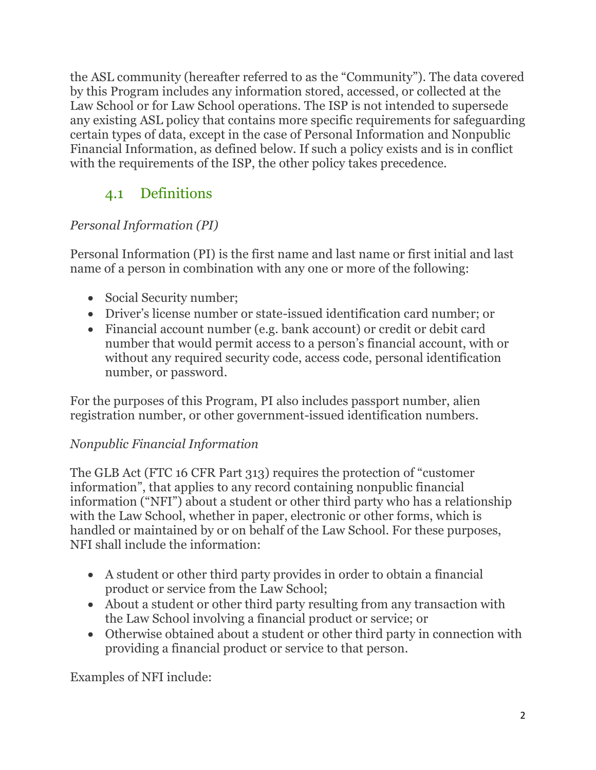the ASL community (hereafter referred to as the "Community"). The data covered by this Program includes any information stored, accessed, or collected at the Law School or for Law School operations. The ISP is not intended to supersede any existing ASL policy that contains more specific requirements for safeguarding certain types of data, except in the case of Personal Information and Nonpublic Financial Information, as defined below. If such a policy exists and is in conflict with the requirements of the ISP, the other policy takes precedence.

# 4.1 Definitions

### *Personal Information (PI)*

Personal Information (PI) is the first name and last name or first initial and last name of a person in combination with any one or more of the following:

- Social Security number;
- Driver's license number or state-issued identification card number; or
- Financial account number (e.g. bank account) or credit or debit card number that would permit access to a person's financial account, with or without any required security code, access code, personal identification number, or password.

For the purposes of this Program, PI also includes passport number, alien registration number, or other government-issued identification numbers.

### *Nonpublic Financial Information*

The GLB Act (FTC 16 CFR Part 313) requires the protection of "customer information", that applies to any record containing nonpublic financial information ("NFI") about a student or other third party who has a relationship with the Law School, whether in paper, electronic or other forms, which is handled or maintained by or on behalf of the Law School. For these purposes, NFI shall include the information:

- A student or other third party provides in order to obtain a financial product or service from the Law School;
- About a student or other third party resulting from any transaction with the Law School involving a financial product or service; or
- Otherwise obtained about a student or other third party in connection with providing a financial product or service to that person.

Examples of NFI include: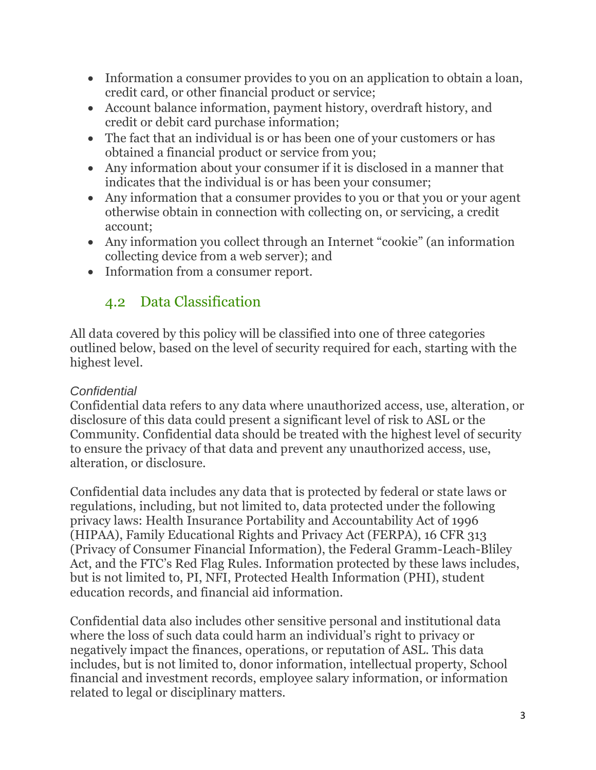- Information a consumer provides to you on an application to obtain a loan, credit card, or other financial product or service;
- Account balance information, payment history, overdraft history, and credit or debit card purchase information;
- The fact that an individual is or has been one of your customers or has obtained a financial product or service from you;
- Any information about your consumer if it is disclosed in a manner that indicates that the individual is or has been your consumer;
- Any information that a consumer provides to you or that you or your agent otherwise obtain in connection with collecting on, or servicing, a credit account;
- Any information you collect through an Internet "cookie" (an information collecting device from a web server); and
- Information from a consumer report.

## 4.2 Data Classification

All data covered by this policy will be classified into one of three categories outlined below, based on the level of security required for each, starting with the highest level.

### *Confidential*

Confidential data refers to any data where unauthorized access, use, alteration, or disclosure of this data could present a significant level of risk to ASL or the Community. Confidential data should be treated with the highest level of security to ensure the privacy of that data and prevent any unauthorized access, use, alteration, or disclosure.

Confidential data includes any data that is protected by federal or state laws or regulations, including, but not limited to, data protected under the following privacy laws: Health Insurance Portability and Accountability Act of 1996 (HIPAA), Family Educational Rights and Privacy Act (FERPA), 16 CFR 313 (Privacy of Consumer Financial Information), the Federal Gramm-Leach-Bliley Act, and the FTC's Red Flag Rules. Information protected by these laws includes, but is not limited to, PI, NFI, Protected Health Information (PHI), student education records, and financial aid information.

Confidential data also includes other sensitive personal and institutional data where the loss of such data could harm an individual's right to privacy or negatively impact the finances, operations, or reputation of ASL. This data includes, but is not limited to, donor information, intellectual property, School financial and investment records, employee salary information, or information related to legal or disciplinary matters.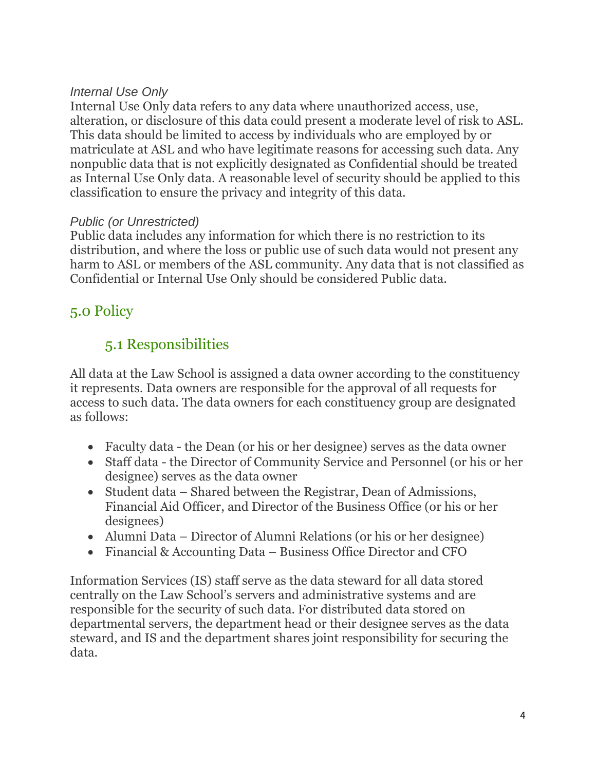#### *Internal Use Only*

Internal Use Only data refers to any data where unauthorized access, use, alteration, or disclosure of this data could present a moderate level of risk to ASL. This data should be limited to access by individuals who are employed by or matriculate at ASL and who have legitimate reasons for accessing such data. Any nonpublic data that is not explicitly designated as Confidential should be treated as Internal Use Only data. A reasonable level of security should be applied to this classification to ensure the privacy and integrity of this data.

#### *Public (or Unrestricted)*

Public data includes any information for which there is no restriction to its distribution, and where the loss or public use of such data would not present any harm to ASL or members of the ASL community. Any data that is not classified as Confidential or Internal Use Only should be considered Public data.

## 5.0 Policy

## 5.1 Responsibilities

All data at the Law School is assigned a data owner according to the constituency it represents. Data owners are responsible for the approval of all requests for access to such data. The data owners for each constituency group are designated as follows:

- Faculty data the Dean (or his or her designee) serves as the data owner
- Staff data the Director of Community Service and Personnel (or his or her designee) serves as the data owner
- Student data Shared between the Registrar, Dean of Admissions, Financial Aid Officer, and Director of the Business Office (or his or her designees)
- Alumni Data Director of Alumni Relations (or his or her designee)
- Financial & Accounting Data Business Office Director and CFO

Information Services (IS) staff serve as the data steward for all data stored centrally on the Law School's servers and administrative systems and are responsible for the security of such data. For distributed data stored on departmental servers, the department head or their designee serves as the data steward, and IS and the department shares joint responsibility for securing the data.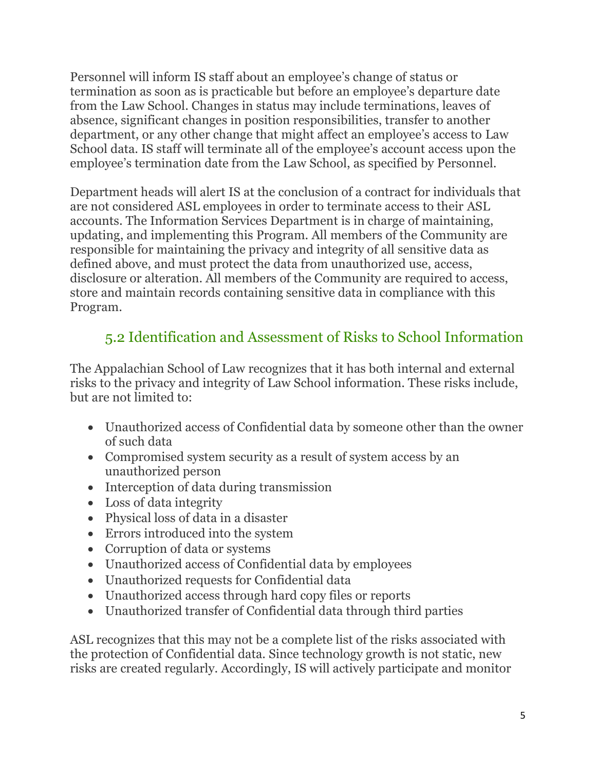Personnel will inform IS staff about an employee's change of status or termination as soon as is practicable but before an employee's departure date from the Law School. Changes in status may include terminations, leaves of absence, significant changes in position responsibilities, transfer to another department, or any other change that might affect an employee's access to Law School data. IS staff will terminate all of the employee's account access upon the employee's termination date from the Law School, as specified by Personnel.

Department heads will alert IS at the conclusion of a contract for individuals that are not considered ASL employees in order to terminate access to their ASL accounts. The Information Services Department is in charge of maintaining, updating, and implementing this Program. All members of the Community are responsible for maintaining the privacy and integrity of all sensitive data as defined above, and must protect the data from unauthorized use, access, disclosure or alteration. All members of the Community are required to access, store and maintain records containing sensitive data in compliance with this Program.

## 5.2 Identification and Assessment of Risks to School Information

The Appalachian School of Law recognizes that it has both internal and external risks to the privacy and integrity of Law School information. These risks include, but are not limited to:

- Unauthorized access of Confidential data by someone other than the owner of such data
- Compromised system security as a result of system access by an unauthorized person
- Interception of data during transmission
- Loss of data integrity
- Physical loss of data in a disaster
- Errors introduced into the system
- Corruption of data or systems
- Unauthorized access of Confidential data by employees
- Unauthorized requests for Confidential data
- Unauthorized access through hard copy files or reports
- Unauthorized transfer of Confidential data through third parties

ASL recognizes that this may not be a complete list of the risks associated with the protection of Confidential data. Since technology growth is not static, new risks are created regularly. Accordingly, IS will actively participate and monitor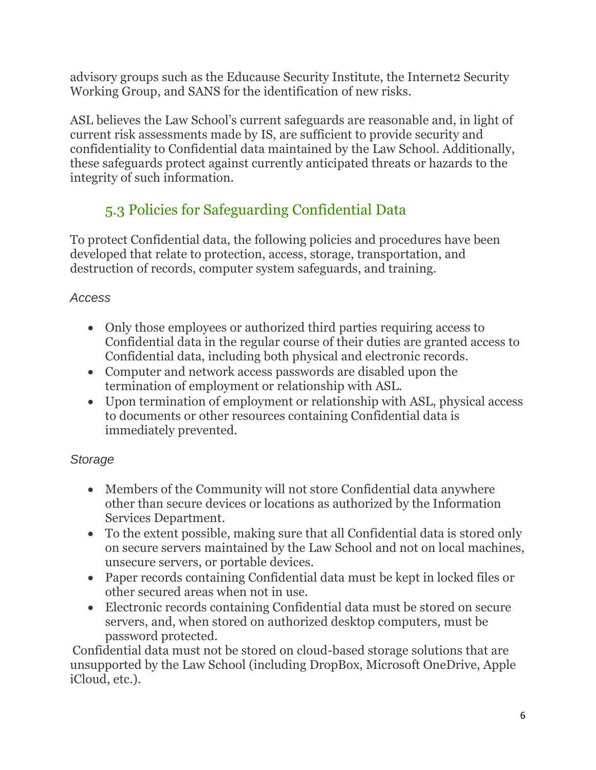advisory groups such as the Educause Security Institute, the Internet2 Security Working Group, and SANS for the identification of new risks.

ASL believes the Law School's current safeguards are reasonable and, in light of current risk assessments made by IS, are sufficient to provide security and confidentiality to Confidential data maintained by the Law School. Additionally, these safeguards protect against currently anticipated threats or hazards to the integrity of such information.

# 5.3 Policies for Safeguarding Confidential Data

To protect Confidential data, the following policies and procedures have been developed that relate to protection, access, storage, transportation, and destruction of records, computer system safeguards, and training.

### *Access*

- Only those employees or authorized third parties requiring access to Confidential data in the regular course of their duties are granted access to Confidential data, including both physical and electronic records.
- Computer and network access passwords are disabled upon the termination of employment or relationship with ASL.
- Upon termination of employment or relationship with ASL, physical access to documents or other resources containing Confidential data is immediately prevented.

### *Storage*

- Members of the Community will not store Confidential data anywhere other than secure devices or locations as authorized by the Information Services Department.
- To the extent possible, making sure that all Confidential data is stored only on secure servers maintained by the Law School and not on local machines, unsecure servers, or portable devices.
- Paper records containing Confidential data must be kept in locked files or other secured areas when not in use.
- Electronic records containing Confidential data must be stored on secure servers, and, when stored on authorized desktop computers, must be password protected.

Confidential data must not be stored on cloud-based storage solutions that are unsupported by the Law School (including DropBox, Microsoft OneDrive, Apple iCloud, etc.).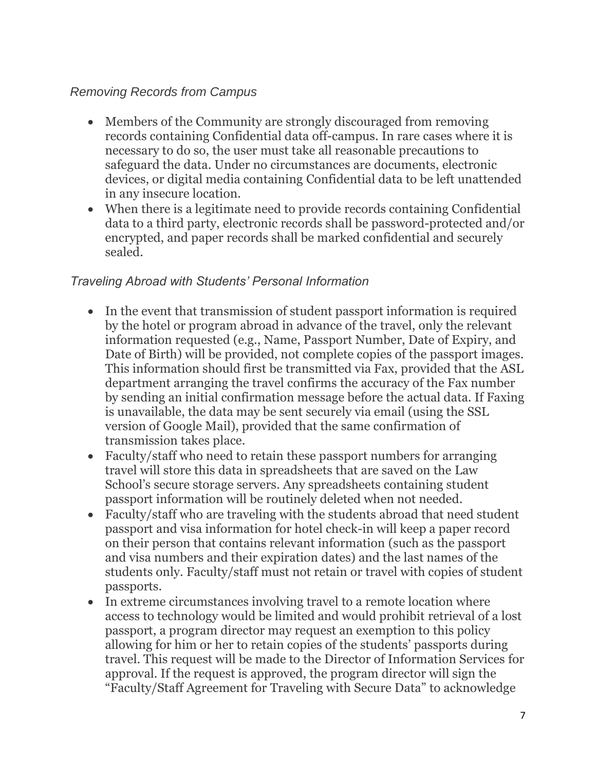### *Removing Records from Campus*

- Members of the Community are strongly discouraged from removing records containing Confidential data off-campus. In rare cases where it is necessary to do so, the user must take all reasonable precautions to safeguard the data. Under no circumstances are documents, electronic devices, or digital media containing Confidential data to be left unattended in any insecure location.
- When there is a legitimate need to provide records containing Confidential data to a third party, electronic records shall be password-protected and/or encrypted, and paper records shall be marked confidential and securely sealed.

#### *Traveling Abroad with Students' Personal Information*

- In the event that transmission of student passport information is required by the hotel or program abroad in advance of the travel, only the relevant information requested (e.g., Name, Passport Number, Date of Expiry, and Date of Birth) will be provided, not complete copies of the passport images. This information should first be transmitted via Fax, provided that the ASL department arranging the travel confirms the accuracy of the Fax number by sending an initial confirmation message before the actual data. If Faxing is unavailable, the data may be sent securely via email (using the SSL version of Google Mail), provided that the same confirmation of transmission takes place.
- Faculty/staff who need to retain these passport numbers for arranging travel will store this data in spreadsheets that are saved on the Law School's secure storage servers. Any spreadsheets containing student passport information will be routinely deleted when not needed.
- Faculty/staff who are traveling with the students abroad that need student passport and visa information for hotel check-in will keep a paper record on their person that contains relevant information (such as the passport and visa numbers and their expiration dates) and the last names of the students only. Faculty/staff must not retain or travel with copies of student passports.
- In extreme circumstances involving travel to a remote location where access to technology would be limited and would prohibit retrieval of a lost passport, a program director may request an exemption to this policy allowing for him or her to retain copies of the students' passports during travel. This request will be made to the Director of Information Services for approval. If the request is approved, the program director will sign the "Faculty/Staff Agreement for Traveling with Secure Data" to acknowledge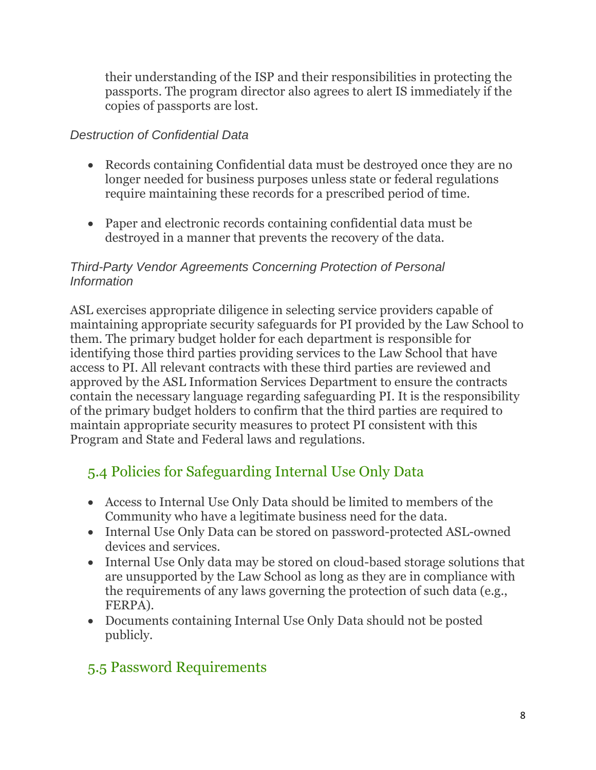their understanding of the ISP and their responsibilities in protecting the passports. The program director also agrees to alert IS immediately if the copies of passports are lost.

### *Destruction of Confidential Data*

- Records containing Confidential data must be destroyed once they are no longer needed for business purposes unless state or federal regulations require maintaining these records for a prescribed period of time.
- Paper and electronic records containing confidential data must be destroyed in a manner that prevents the recovery of the data.

#### *Third-Party Vendor Agreements Concerning Protection of Personal Information*

ASL exercises appropriate diligence in selecting service providers capable of maintaining appropriate security safeguards for PI provided by the Law School to them. The primary budget holder for each department is responsible for identifying those third parties providing services to the Law School that have access to PI. All relevant contracts with these third parties are reviewed and approved by the ASL Information Services Department to ensure the contracts contain the necessary language regarding safeguarding PI. It is the responsibility of the primary budget holders to confirm that the third parties are required to maintain appropriate security measures to protect PI consistent with this Program and State and Federal laws and regulations.

## 5.4 Policies for Safeguarding Internal Use Only Data

- Access to Internal Use Only Data should be limited to members of the Community who have a legitimate business need for the data.
- Internal Use Only Data can be stored on password-protected ASL-owned devices and services.
- Internal Use Only data may be stored on cloud-based storage solutions that are unsupported by the Law School as long as they are in compliance with the requirements of any laws governing the protection of such data (e.g., FERPA).
- Documents containing Internal Use Only Data should not be posted publicly.

## 5.5 Password Requirements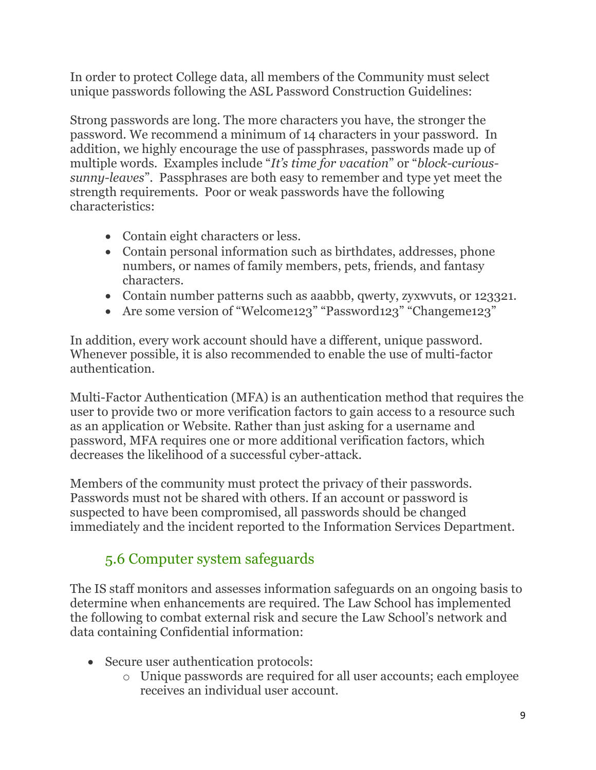In order to protect College data, all members of the Community must select unique passwords following the ASL Password Construction Guidelines:

Strong passwords are long. The more characters you have, the stronger the password. We recommend a minimum of 14 characters in your password. In addition, we highly encourage the use of passphrases, passwords made up of multiple words. Examples include "*It's time for vacation*" or "*block-curioussunny-leaves*". Passphrases are both easy to remember and type yet meet the strength requirements. Poor or weak passwords have the following characteristics:

- Contain eight characters or less.
- Contain personal information such as birthdates, addresses, phone numbers, or names of family members, pets, friends, and fantasy characters.
- Contain number patterns such as aaabbb, qwerty, zyxwvuts, or 123321.
- Are some version of "Welcome123" "Password123" "Changeme123"

In addition, every work account should have a different, unique password. Whenever possible, it is also recommended to enable the use of multi-factor authentication.

Multi-Factor Authentication (MFA) is an authentication method that requires the user to provide two or more verification factors to gain access to a resource such as an application or Website. Rather than just asking for a username and password, MFA requires one or more additional verification factors, which decreases the likelihood of a successful cyber-attack.

Members of the community must protect the privacy of their passwords. Passwords must not be shared with others. If an account or password is suspected to have been compromised, all passwords should be changed immediately and the incident reported to the Information Services Department.

## 5.6 Computer system safeguards

The IS staff monitors and assesses information safeguards on an ongoing basis to determine when enhancements are required. The Law School has implemented the following to combat external risk and secure the Law School's network and data containing Confidential information:

- Secure user authentication protocols:
	- o Unique passwords are required for all user accounts; each employee receives an individual user account.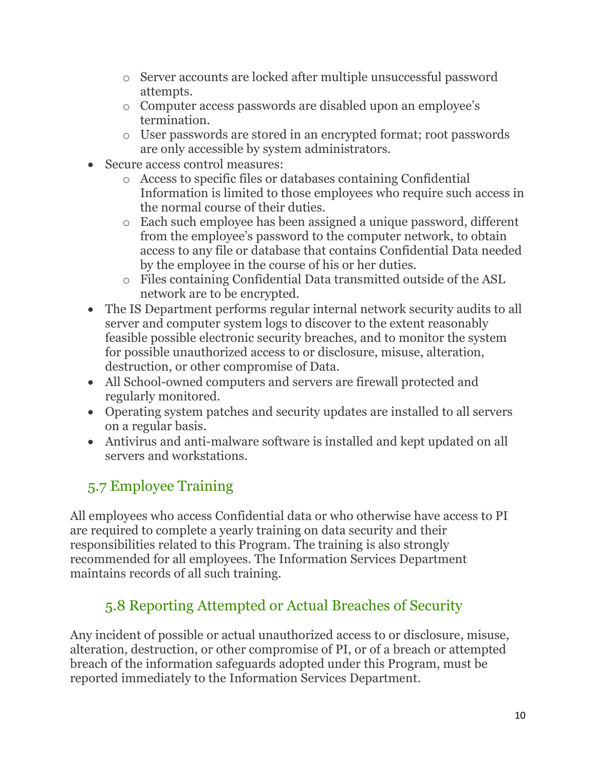- o Server accounts are locked after multiple unsuccessful password attempts.
- o Computer access passwords are disabled upon an employee's termination.
- o User passwords are stored in an encrypted format; root passwords are only accessible by system administrators.
- Secure access control measures:
	- o Access to specific files or databases containing Confidential Information is limited to those employees who require such access in the normal course of their duties.
	- o Each such employee has been assigned a unique password, different from the employee's password to the computer network, to obtain access to any file or database that contains Confidential Data needed by the employee in the course of his or her duties.
	- o Files containing Confidential Data transmitted outside of the ASL network are to be encrypted.
- The IS Department performs regular internal network security audits to all server and computer system logs to discover to the extent reasonably feasible possible electronic security breaches, and to monitor the system for possible unauthorized access to or disclosure, misuse, alteration, destruction, or other compromise of Data.
- All School-owned computers and servers are firewall protected and regularly monitored.
- Operating system patches and security updates are installed to all servers on a regular basis.
- Antivirus and anti-malware software is installed and kept updated on all servers and workstations.

# 5.7 Employee Training

All employees who access Confidential data or who otherwise have access to PI are required to complete a yearly training on data security and their responsibilities related to this Program. The training is also strongly recommended for all employees. The Information Services Department maintains records of all such training.

# 5.8 Reporting Attempted or Actual Breaches of Security

Any incident of possible or actual unauthorized access to or disclosure, misuse, alteration, destruction, or other compromise of PI, or of a breach or attempted breach of the information safeguards adopted under this Program, must be reported immediately to the Information Services Department.